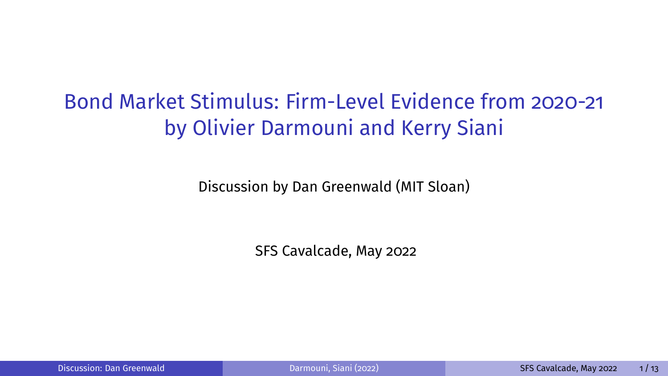# <span id="page-0-0"></span>Bond Market Stimulus: Firm-Level Evidence from 2020-21 by Olivier Darmouni and Kerry Siani

Discussion by Dan Greenwald (MIT Sloan)

SFS Cavalcade, May 2022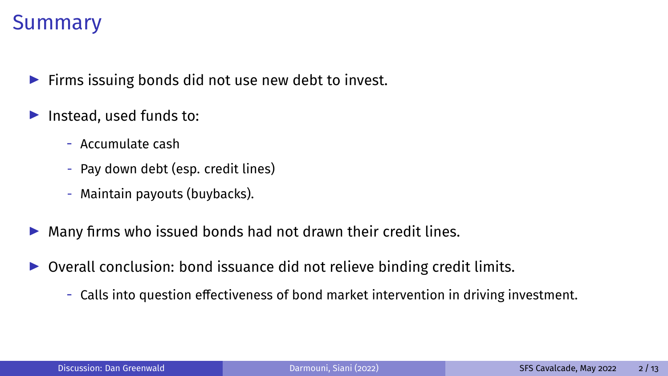#### Summary

- $\blacktriangleright$  Firms issuing bonds did not use new debt to invest.
- $\blacktriangleright$  Instead, used funds to:
	- Accumulate cash
	- Pay down debt (esp. credit lines)
	- Maintain payouts (buybacks).
- $\triangleright$  Many firms who issued bonds had not drawn their credit lines.
- $\triangleright$  Overall conclusion: bond issuance did not relieve binding credit limits.
	- Calls into question effectiveness of bond market intervention in driving investment.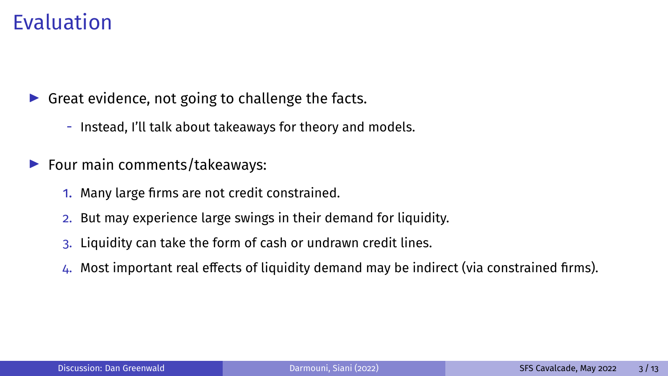## Evaluation

 $\triangleright$  Great evidence, not going to challenge the facts.

- Instead, I'll talk about takeaways for theory and models.
- $\blacktriangleright$  Four main comments/takeaways:
	- 1. Many large firms are not credit constrained.
	- 2. But may experience large swings in their demand for liquidity.
	- 3. Liquidity can take the form of cash or undrawn credit lines.
	- $4.$  Most important real effects of liquidity demand may be indirect (via constrained firms).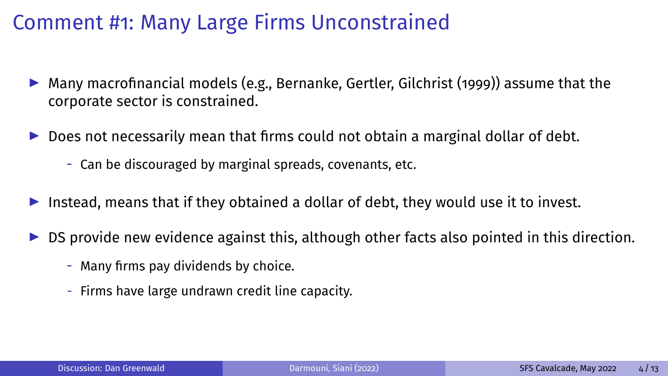- $\blacktriangleright$  Many macrofinancial models (e.g., Bernanke, Gertler, Gilchrist (1999)) assume that the corporate sector is constrained.
- $\triangleright$  Does not necessarily mean that firms could not obtain a marginal dollar of debt.
	- Can be discouraged by marginal spreads, covenants, etc.
- Instead, means that if they obtained a dollar of debt, they would use it to invest.
- $\triangleright$  DS provide new evidence against this, although other facts also pointed in this direction.
	- Many firms pay dividends by choice.
	- Firms have large undrawn credit line capacity.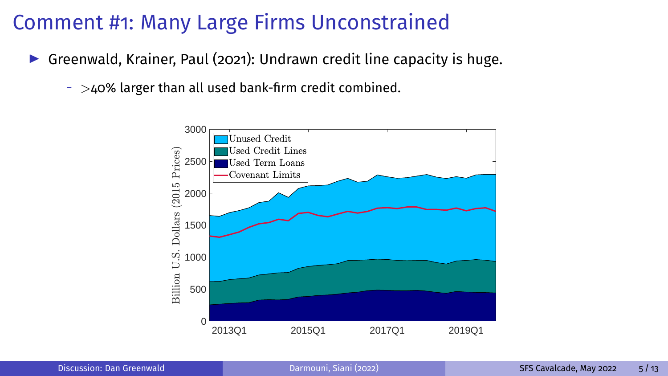- Greenwald, Krainer, Paul (2021): Undrawn credit line capacity is huge.
	- $-$  >40% larger than all used bank-firm credit combined.

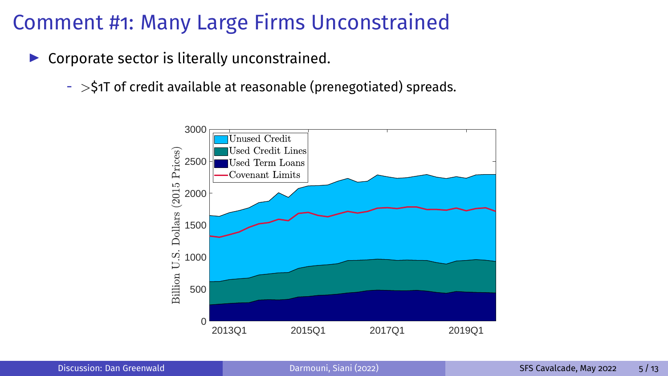- $\triangleright$  Corporate sector is literally unconstrained.
	- $-$  >\$1T of credit available at reasonable (prenegotiated) spreads.

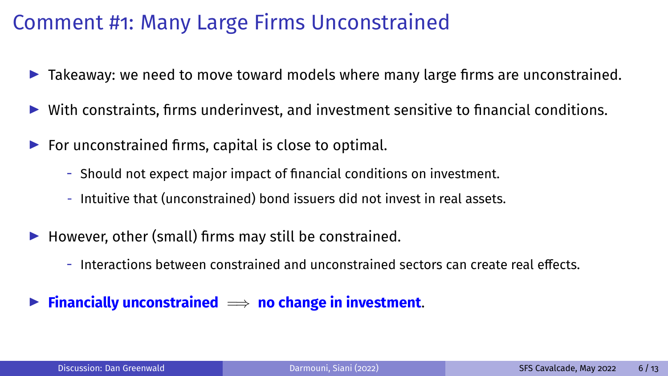- $\blacktriangleright$  Takeaway: we need to move toward models where many large firms are unconstrained.
- $\triangleright$  With constraints, firms underinvest, and investment sensitive to financial conditions.
- $\blacktriangleright$  For unconstrained firms, capital is close to optimal.
	- Should not expect major impact of financial conditions on investment.
	- Intuitive that (unconstrained) bond issuers did not invest in real assets.
- $\blacktriangleright$  However, other (small) firms may still be constrained.
	- $-$  Interactions between constrained and unconstrained sectors can create real effects.
- I **Financially unconstrained** =⇒ **no change in investment**.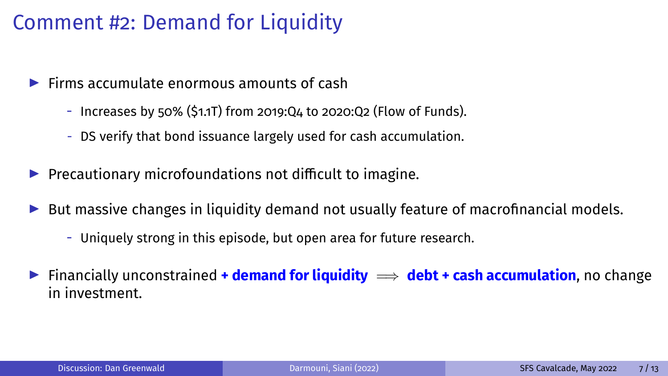### Comment #2: Demand for Liquidity

- $\blacktriangleright$  Firms accumulate enormous amounts of cash
	- Increases by 50% (\$1.1T) from 2019:Q4 to 2020:Q2 (Flow of Funds).
	- DS verify that bond issuance largely used for cash accumulation.
- $\blacktriangleright$  Precautionary microfoundations not difficult to imagine.
- $\triangleright$  But massive changes in liquidity demand not usually feature of macrofinancial models.
	- Uniquely strong in this episode, but open area for future research.
- **►** Financially unconstrained **+ demand for liquidity**  $\implies$  **debt + cash accumulation**, no change in investment.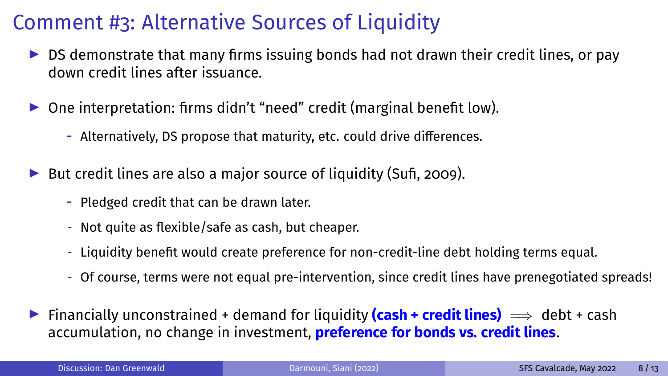## Comment #3: Alternative Sources of Liquidity

- $\triangleright$  DS demonstrate that many firms issuing bonds had not drawn their credit lines, or pay down credit lines after issuance.
- $\triangleright$  One interpretation: firms didn't "need" credit (marginal benefit low).
	- Alternatively, DS propose that maturity, etc. could drive differences.
- $\triangleright$  But credit lines are also a major source of liquidity (Sufi, 2009).
	- Pledged credit that can be drawn later.
	- Not quite as flexible/safe as cash, but cheaper.
	- Liquidity benefit would create preference for non-credit-line debt holding terms equal.
	- Of course, terms were not equal pre-intervention, since credit lines have prenegotiated spreads!
- **►** Financially unconstrained + demand for liquidity (cash + credit lines)  $\implies$  debt + cash accumulation, no change in investment, **preference for bonds vs. credit lines**.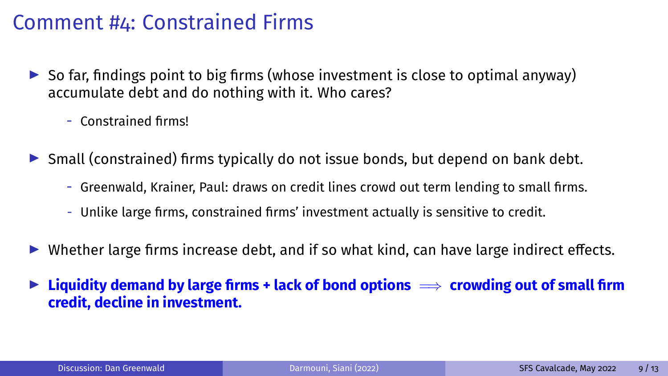#### Comment #4: Constrained Firms

- $\triangleright$  So far, findings point to big firms (whose investment is close to optimal anyway) accumulate debt and do nothing with it. Who cares?
	- Constrained firms!
- $\triangleright$  Small (constrained) firms typically do not issue bonds, but depend on bank debt.
	- Greenwald, Krainer, Paul: draws on credit lines crowd out term lending to small firms.
	- Unlike large firms, constrained firms' investment actually is sensitive to credit.
- $\triangleright$  Whether large firms increase debt, and if so what kind, can have large indirect effects.
- **► Liquidity demand by large firms + lack of bond options**  $\implies$  **crowding out of small firm credit, decline in investment.**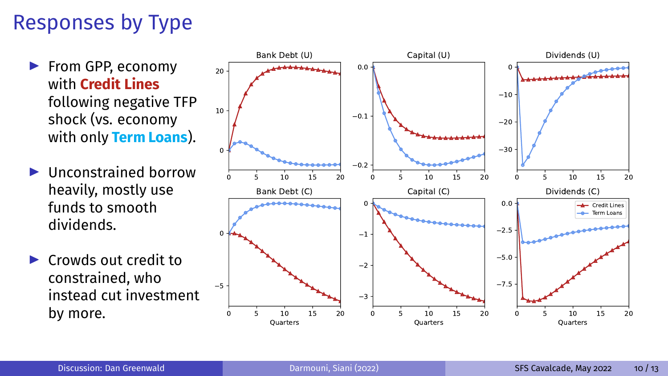## Responses by Type

- ▶ From GPP, economy with **Credit Lines** following negative TFP shock (vs. economy with only **Term Loans**).
- $\blacktriangleright$  Ilnconstrained borrow heavily, mostly use funds to smooth dividends.
- $\blacktriangleright$  Crowds out credit to constrained, who instead cut investment by more.

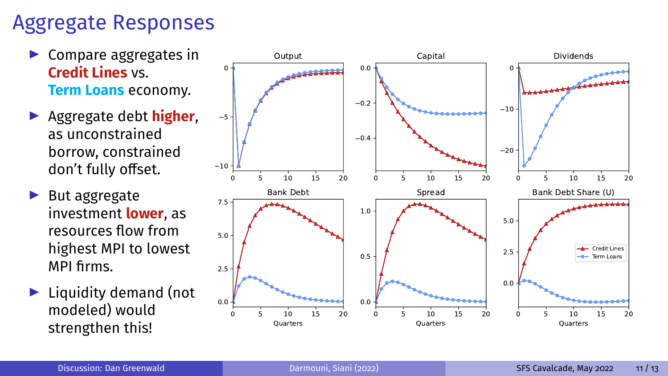#### Aggregate Responses

- $\blacktriangleright$  Compare aggregates in **Credit Lines** vs. **Term Loans** economy.
- **Aggregate debt higher,** as unconstrained borrow, constrained don't fully offset.
- $\blacktriangleright$  But aggregate investment **lower**, as resources flow from highest MPI to lowest MPI firms.
- $\blacktriangleright$  Liquidity demand (not modeled) would

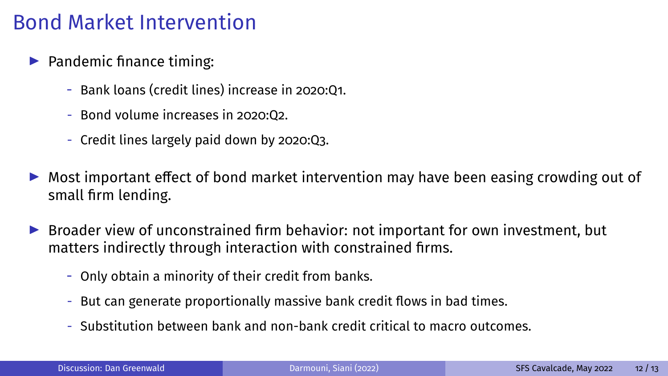### Bond Market Intervention

- $\blacktriangleright$  Pandemic finance timing:
	- Bank loans (credit lines) increase in 2020:Q1.
	- $-$  Bond volume increases in 2020:02.
	- Credit lines largely paid down by 2020:Q3.
- $\triangleright$  Most important effect of bond market intervention may have been easing crowding out of small firm lending.
- $\triangleright$  Broader view of unconstrained firm behavior: not important for own investment, but matters indirectly through interaction with constrained firms.
	- Only obtain a minority of their credit from banks.
	- But can generate proportionally massive bank credit flows in bad times.
	- Substitution between bank and non-bank credit critical to macro outcomes.